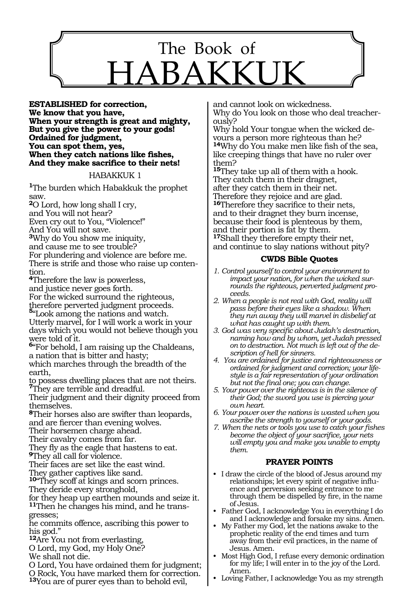# 1153 The Book of  $HAB$

**Established for correction, We know that you have, When your strength is great and mighty, But you give the power to your gods! Ordained for judgment, You can spot them, yes, When they catch nations like fishes, And they make sacrifice to their nets!** 

#### HABAKKUK 1

**<sup>1</sup>**The burden which Habakkuk the prophet saw.

**<sup>2</sup>**O Lord, how long shall I cry,

and You will not hear?

Even cry out to You, "Violence!"

And You will not save.

**<sup>3</sup>**Why do You show me iniquity,

and cause me to see trouble?

For plundering and violence are before me.

There is strife and those who raise up conten-<br>tion.

**<sup>4</sup>**Therefore the law is powerless,

and justice never goes forth.

For the wicked surround the righteous, therefore perverted judgment proceeds.

**<sup>5</sup>**"Look among the nations and watch.

Utterly marvel, for I will work a work in your days which you would not believe though you were told of it.

**<sup>6</sup>**"For behold, I am raising up the Chaldeans, a nation that is bitter and hasty;

which marches through the breadth of the earth,

to possess dwelling places that are not theirs. **<sup>7</sup>**They are terrible and dreadful.

Their judgment and their dignity proceed from themselves.

**<sup>8</sup>**Their horses also are swifter than leopards, and are fiercer than evening wolves.

Their horsemen charge ahead.

Their cavalry comes from far.

They fly as the eagle that hastens to eat.

**<sup>9</sup>**They all call for violence.

Their faces are set like the east wind.

They gather captives like sand.

**<sup>10</sup>**"They scoff at kings and scorn princes.

They deride every stronghold,

for they heap up earthen mounds and seize it. **11**Then he changes his mind, and he transgresses;

he commits offence, ascribing this power to his god."

**<sup>12</sup>**Are You not from everlasting,

O Lord, my God, my Holy One?

We shall not die.

O Lord, You have ordained them for judgment; O Rock, You have marked them for correction.

**<sup>13</sup>**You are of purer eyes than to behold evil,

and cannot look on wickedness. Why do You look on those who deal treacher-<br>ously?<br>Why hold Your tongue when the wicked de-

vours a person more righteous than he? **<sup>14</sup>**Why do You make men like fish of the sea, like creeping things that have no ruler over them?

**<sup>15</sup>**They take up all of them with a hook. They catch them in their dragnet, after they catch them in their net. Therefore they rejoice and are glad. **<sup>16</sup>**Therefore they sacrifice to their nets, and to their dragnet they burn incense, because their food is plenteous by them, and their portion is fat by them. **<sup>17</sup>**Shall they therefore empty their net, and continue to slay nations without pity?

# **CWDS Bible Quotes**

- *1. Control yourself to control your environment to impact your nation, for when the wicked surrounds the righteous, perverted judgment proceeds.*
- *2. When a people is not real with God, reality will pass before their eyes like a shadow. When they run away they will marvel in disbelief at what has caught up with them.*
- *3. God was very specific about Judah's destruction, naming how and by whom, yet Judah pressed on to destruction. Not much is left out of the description of hell for sinners.*
- *4. You are ordained for justice and righteousness or ordained for judgment and correction; your lifestyle is a fair representation of your ordination but not the final one; you can change.*
- *5. Your power over the righteous is in the silence of their God; the sword you use is piercing your own heart.*
- *6. Your power over the nations is wasted when you ascribe the strength to yourself or your gods.*
- *7. When the nets or tools you use to catch your fishes become the object of your sacrifice, your nets will empty you and make you unable to empty them.*

# **PRAYER POINTS**

- I draw the circle of the blood of Jesus around my relationships; let every spirit of negative influence and perversion seeking entrance to me through them be dispelled by fire, in the name of Jesus.
- Father God, I acknowledge You in everything I do and I acknowledge and forsake my sins. Amen.
- My Father my God, let the nations awake to the prophetic reality of the end times and turn away from their evil practices, in the name of Jesus. Amen.
- Most High God, I refuse every demonic ordination for my life; I will enter in to the joy of the Lord. Amen.
- Loving Father, I acknowledge You as my strength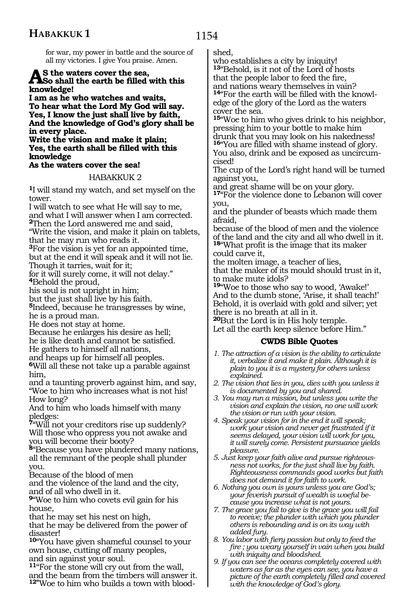1154

for war, my power in battle and the source of all my victories. I give You praise. Amen.

# **As the waters cover the sea, So shall the earth be filled with this knowledge!**

**I am as he who watches and waits, To hear what the Lord My God will say. Yes, I know the just shall live by faith, And the knowledge of God's glory shall be in every place.**

#### **Write the vision and make it plain; Yes, the earth shall be filled with this knowledge**

## **As the waters cover the sea!**

## HABAKKUK 2

**<sup>1</sup>**I will stand my watch, and set myself on the tower.

I will watch to see what He will say to me, and what I will answer when I am corrected. **<sup>2</sup>**Then the Lord answered me and said,

"Write the vision, and make it plain on tablets, that he may run who reads it.

**<sup>3</sup>**For the vision is yet for an appointed time, but at the end it will speak and it will not lie.

Though it tarries, wait for it;

for it will surely come, it will not delay." **<sup>4</sup>**Behold the proud,

his soul is not upright in him;

but the just shall live by his faith.

**<sup>5</sup>**Indeed, because he transgresses by wine, he is a proud man.

He does not stay at home.

Because he enlarges his desire as hell; he is like death and cannot be satisfied. He gathers to himself all nations,

and heaps up for himself all peoples.

**<sup>6</sup>**Will all these not take up a parable against him,

and a taunting proverb against him, and say, "Woe to him who increases what is not his! How long?

And to him who loads himself with many pledges:

**<sup>7</sup>**"Will not your creditors rise up suddenly? Will those who oppress you not awake and you will become their booty?

**<sup>8</sup>**"Because you have plundered many nations, all the remnant of the people shall plunder you.

Because of the blood of men

and the violence of the land and the city, and of all who dwell in it.

**<sup>9</sup>**"Woe to him who covets evil gain for his house,

that he may set his nest on high,

that he may be delivered from the power of disaster!

**<sup>10</sup>**"You have given shameful counsel to your own house, cutting off many peoples, and sin against your soul.

**<sup>11</sup>**"For the stone will cry out from the wall, and the beam from the timbers will answer it. **12"**Woe to him who builds a town with bloodshed,

who establishes a city by iniquity! **<sup>13</sup>**"Behold, is it not of the Lord of hosts that the people labor to feed the fire, and nations weary themselves in vain? **14**"For the earth will be filled with the knowledge of the glory of the Lord as the waters cover the sea.

**<sup>15</sup>**"Woe to him who gives drink to his neighbor, pressing him to your bottle to make him drunk that you may look on his nakedness! **<sup>16</sup>**"You are filled with shame instead of glory. You also, drink and be exposed as uncircum-

cised! The cup of the Lord's right hand will be turned against you,

and great shame will be on your glory.

**<sup>17</sup>**"For the violence done to Lebanon will cover you,

and the plunder of beasts which made them afraid,

because of the blood of men and the violence of the land and the city and all who dwell in it. **<sup>18</sup>**"What profit is the image that its maker could carve it,

the molten image, a teacher of lies,

that the maker of its mould should trust in it, to make mute idols?

**<sup>19</sup>**"Woe to those who say to wood, 'Awake!' And to the dumb stone, 'Arise, it shall teach!' Behold, it is overlaid with gold and silver; yet there is no breath at all in it.

**<sup>20</sup>**But the Lord is in His holy temple. Let all the earth keep silence before Him."

# **CWDS Bible Quotes**

- *1. The attraction of a vision is the ability to articulate it, verbalize it and make it plain. Although it is plain to you it is a mystery for others unless explained.*
- *2. The vision that lies in you, dies with you unless it is documented by you and shared.*
- *3. You may run a mission, but unless you write the vision and explain the vision, no one will work the vision or run with your vision.*
- *4. Speak your vision for in the end it will speak; work your vision and never get frustrated if it seems delayed, your vision will work for you, it will surely come. Persistent pursuance yields pleasure.*
- *5. Just keep your faith alive and pursue righteousness not works, for the just shall live by faith. Righteousness commands good works but faith does not demand it for faith to work.*
- *6. Nothing you own is yours unless you are God's; your feverish pursuit of wealth is woeful because you increase what is not yours.*
- *7. The grace you fail to give is the grace you will fail to receive; the plunder with which you plunder others is rebounding and is on its way with added fury.*
- *8. You labor with fiery passion but only to feed the fire ; you weary yourself in vain when you build with iniquity and bloodshed.*
- *9. If you can see the oceans completely covered with waters as far as the eyes can see, you have a picture of the earth completely filled and covered with the knowledge of God's glory.*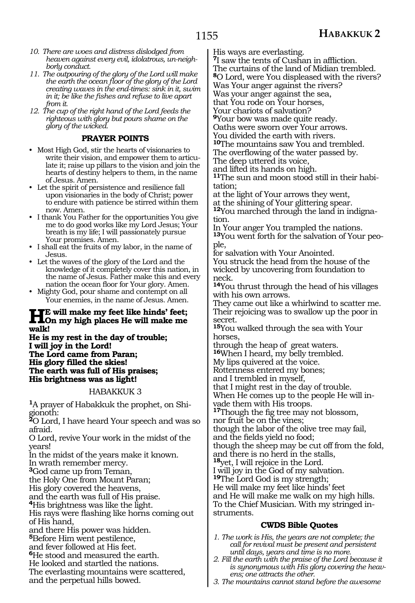- *10. There are woes and distress dislodged from heaven against every evil, idolatrous, un-neighborly conduct.*
- *11. The outpouring of the glory of the Lord will make the earth the ocean floor of the glory of the Lord creating waves in the end-times: sink in it, swim in it; be like the fishes and refuse to live apart from it.*
- *12. The cup of the right hand of the Lord feeds the righteous with glory but pours shame on the glory of the wicked.*

## **PRAYER POINTS**

- Most High God, stir the hearts of visionaries to write their vision, and empower them to articulate it; raise up pillars to the vision and join the hearts of destiny helpers to them, in the name of Jesus. Amen.
- Let the spirit of persistence and resilience fall upon visionaries in the body of Christ; power to endure with patience be stirred within them now. Amen.
- I thank You Father for the opportunities You give me to do good works like my Lord Jesus; Your breath is my life; I will passionately pursue Your promises. Amen.
- I shall eat the fruits of my labor, in the name of Jesus.
- Let the waves of the glory of the Lord and the knowledge of it completely cover this nation, in the name of Jesus. Father make this and every nation the ocean floor for Your glory. Amen.
- Mighty God, pour shame and contempt on all Your enemies, in the name of Jesus. Amen.

# **He will make my feet like hinds' feet; On my high places He will make me walk!**

**He is my rest in the day of trouble; I will joy in the Lord! The Lord came from Paran; His glory filled the skies! The earth was full of His praises; His brightness was as light!**

## HABAKKUK 3

**1**A prayer of Habakkuk the prophet, on Shigionoth:

**<sup>2</sup>**O Lord, I have heard Your speech and was so afraid.

O Lord, revive Your work in the midst of the years!

In the midst of the years make it known.

In wrath remember mercy.

**<sup>3</sup>**God came up from Teman, the Holy One from Mount Paran;

His glory covered the heavens,

and the earth was full of His praise.

**<sup>4</sup>**His brightness was like the light.

His rays were flashing like horns coming out of His hand,

and there His power was hidden.

**<sup>5</sup>**Before Him went pestilence,

and fever followed at His feet.

**<sup>6</sup>**He stood and measured the earth.

He looked and startled the nations.

The everlasting mountains were scattered,

and the perpetual hills bowed.

His ways are everlasting.

**<sup>7</sup>**I saw the tents of Cushan in affliction.

The curtains of the land of Midian trembled.

**<sup>8</sup>**O Lord, were You displeased with the rivers?

Was Your anger against the rivers?

Was your anger against the sea, that You rode on Your horses,

Your chariots of salvation?

**<sup>9</sup>**Your bow was made quite ready.

Oaths were sworn over Your arrows.

You divided the earth with rivers.

**<sup>10</sup>**The mountains saw You and trembled.

The overflowing of the water passed by.

The deep uttered its voice,

and lifted its hands on high. **11**The sun and moon stood still in their habitation;

at the light of Your arrows they went,

at the shining of Your glittering spear.

**12**You marched through the land in indignation.

In Your anger You trampled the nations. **13**You went forth for the salvation of Your people,

for salvation with Your Anointed.

You struck the head from the house of the wicked by uncovering from foundation to neck.

**<sup>14</sup>**You thrust through the head of his villages with his own arrows.

They came out like a whirlwind to scatter me. Their rejoicing was to swallow up the poor in secret.

**<sup>15</sup>**You walked through the sea with Your horses,

through the heap of great waters.

**<sup>16</sup>**When I heard, my belly trembled.

My lips quivered at the voice.

Rottenness entered my bones;

and I trembled in myself,

that I might rest in the day of trouble.

When He comes up to the people He will invade them with His troops.

**<sup>17</sup>**Though the fig tree may not blossom,

nor fruit be on the vines;

though the labor of the olive tree may fail,

and the fields yield no food;

though the sheep may be cut off from the fold,

and there is no herd in the stalls,

**<sup>18</sup>**yet, I will rejoice in the Lord.

I will joy in the God of my salvation.

**<sup>19</sup>**The Lord God is my strength;

He will make my feet like hinds' feet

and He will make me walk on my high hills. To the Chief Musician. With my stringed in- struments.

## **CWDS Bible Quotes**

- *1. The work is His, the years are not complete; the call for revival must be present and persistent until days, years and time is no more.*
- *2. Fill the earth with the praise of the Lord because it is synonymous with His glory covering the heavens; one attracts the other.*
- *3. The mountains cannot stand before the awesome*